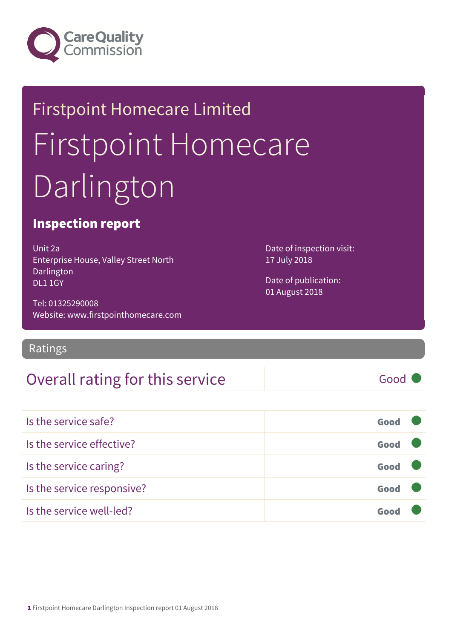

# Firstpoint Homecare Limited Firstpoint Homecare Darlington

#### Inspection report

Unit 2a Enterprise House, Valley Street North Darlington DL1 1GY

Tel: 01325290008 Website: www.firstpointhomecare.com

Ratings

Overall rating for this service Good Is the service safe? Good Is the service effective? Contact the service effective? Is the service caring? Good Is the service responsive? Good

Is the service well-led? Good

Date of inspection visit: 17 July 2018

Date of publication: 01 August 2018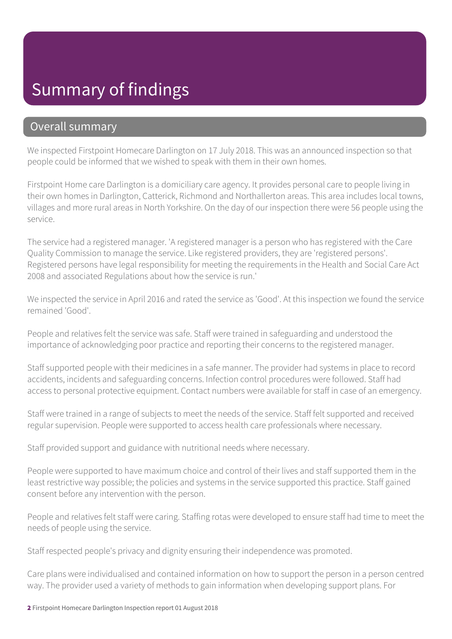#### Summary of findings

#### Overall summary

We inspected Firstpoint Homecare Darlington on 17 July 2018. This was an announced inspection so that people could be informed that we wished to speak with them in their own homes.

Firstpoint Home care Darlington is a domiciliary care agency. It provides personal care to people living in their own homes in Darlington, Catterick, Richmond and Northallerton areas. This area includes local towns, villages and more rural areas in North Yorkshire. On the day of our inspection there were 56 people using the service.

The service had a registered manager. 'A registered manager is a person who has registered with the Care Quality Commission to manage the service. Like registered providers, they are 'registered persons'. Registered persons have legal responsibility for meeting the requirements in the Health and Social Care Act 2008 and associated Regulations about how the service is run.'

We inspected the service in April 2016 and rated the service as 'Good'. At this inspection we found the service remained 'Good'.

People and relatives felt the service was safe. Staff were trained in safeguarding and understood the importance of acknowledging poor practice and reporting their concerns to the registered manager.

Staff supported people with their medicines in a safe manner. The provider had systems in place to record accidents, incidents and safeguarding concerns. Infection control procedures were followed. Staff had access to personal protective equipment. Contact numbers were available for staff in case of an emergency.

Staff were trained in a range of subjects to meet the needs of the service. Staff felt supported and received regular supervision. People were supported to access health care professionals where necessary.

Staff provided support and guidance with nutritional needs where necessary.

People were supported to have maximum choice and control of their lives and staff supported them in the least restrictive way possible; the policies and systems in the service supported this practice. Staff gained consent before any intervention with the person.

People and relatives felt staff were caring. Staffing rotas were developed to ensure staff had time to meet the needs of people using the service.

Staff respected people's privacy and dignity ensuring their independence was promoted.

Care plans were individualised and contained information on how to support the person in a person centred way. The provider used a variety of methods to gain information when developing support plans. For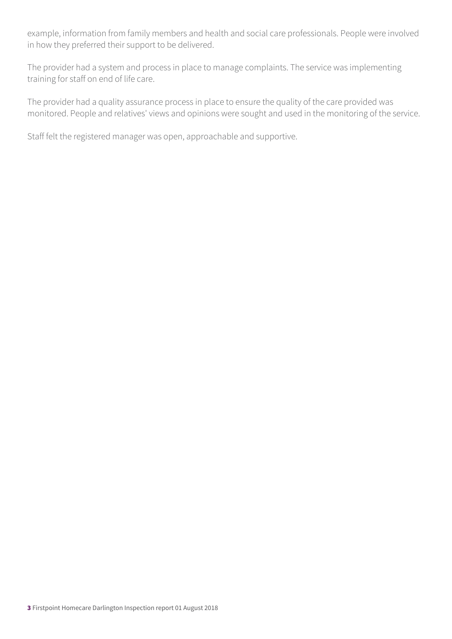example, information from family members and health and social care professionals. People were involved in how they preferred their support to be delivered.

The provider had a system and process in place to manage complaints. The service was implementing training for staff on end of life care.

The provider had a quality assurance process in place to ensure the quality of the care provided was monitored. People and relatives' views and opinions were sought and used in the monitoring of the service.

Staff felt the registered manager was open, approachable and supportive.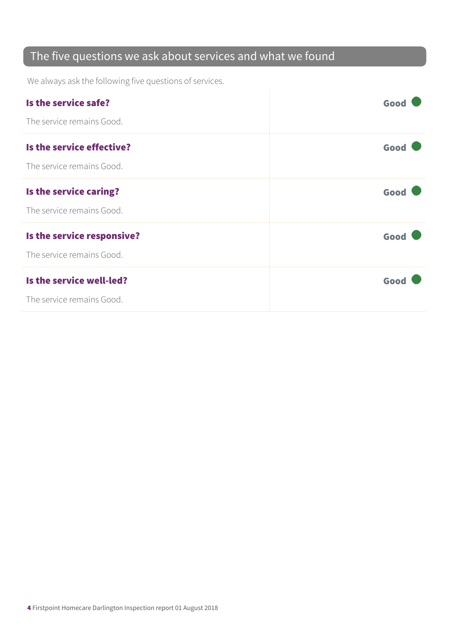#### The five questions we ask about services and what we found

We always ask the following five questions of services.

| Is the service safe?       | Good |
|----------------------------|------|
| The service remains Good.  |      |
| Is the service effective?  | Good |
| The service remains Good.  |      |
| Is the service caring?     | Good |
| The service remains Good.  |      |
| Is the service responsive? | Good |
| The service remains Good.  |      |
| Is the service well-led?   | Good |
| The service remains Good.  |      |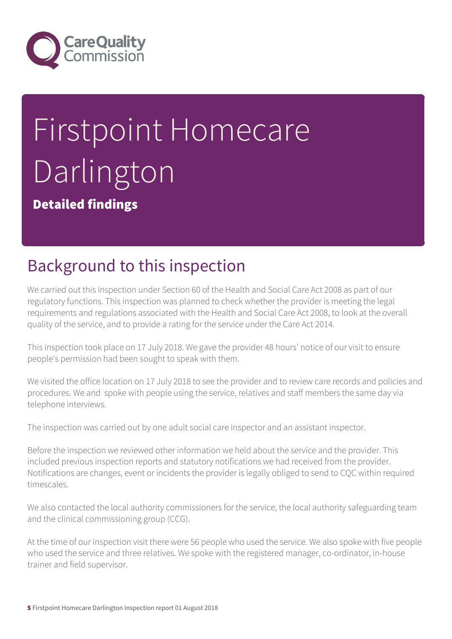

# Firstpoint Homecare Darlington

Detailed findings

## Background to this inspection

We carried out this inspection under Section 60 of the Health and Social Care Act 2008 as part of our regulatory functions. This inspection was planned to check whether the provider is meeting the legal requirements and regulations associated with the Health and Social Care Act 2008, to look at the overall quality of the service, and to provide a rating for the service under the Care Act 2014.

This inspection took place on 17 July 2018. We gave the provider 48 hours' notice of our visit to ensure people's permission had been sought to speak with them.

We visited the office location on 17 July 2018 to see the provider and to review care records and policies and procedures. We and spoke with people using the service, relatives and staff members the same day via telephone interviews.

The inspection was carried out by one adult social care inspector and an assistant inspector.

Before the inspection we reviewed other information we held about the service and the provider. This included previous inspection reports and statutory notifications we had received from the provider. Notifications are changes, event or incidents the provider is legally obliged to send to CQC within required timescales.

We also contacted the local authority commissioners for the service, the local authority safeguarding team and the clinical commissioning group (CCG).

At the time of our inspection visit there were 56 people who used the service. We also spoke with five people who used the service and three relatives. We spoke with the registered manager, co-ordinator, in-house trainer and field supervisor.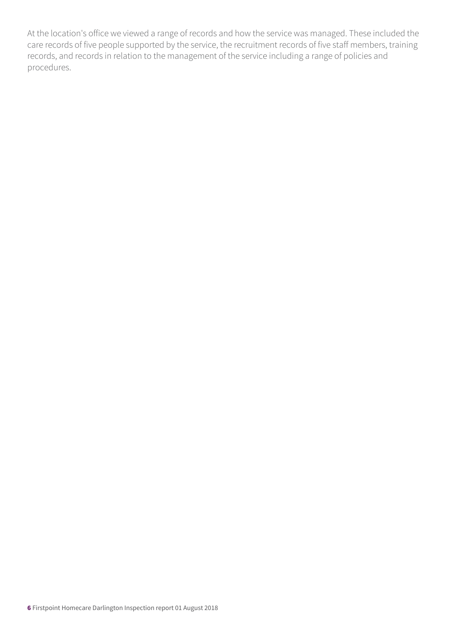At the location's office we viewed a range of records and how the service was managed. These included the care records of five people supported by the service, the recruitment records of five staff members, training records, and records in relation to the management of the service including a range of policies and procedures.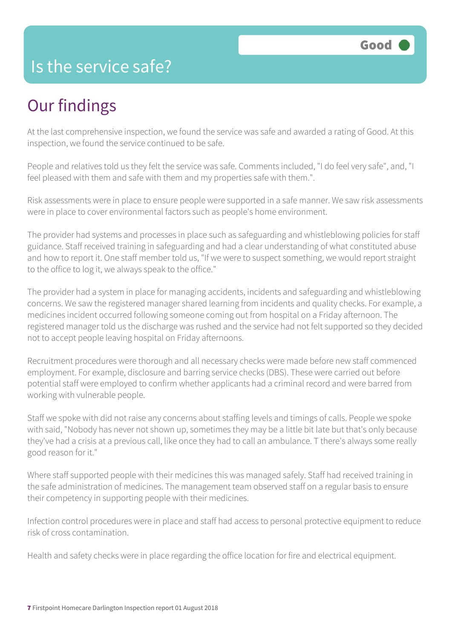#### Is the service safe?

#### Our findings

At the last comprehensive inspection, we found the service was safe and awarded a rating of Good. At this inspection, we found the service continued to be safe.

People and relatives told us they felt the service was safe. Comments included, "I do feel very safe", and, "I feel pleased with them and safe with them and my properties safe with them.".

Risk assessments were in place to ensure people were supported in a safe manner. We saw risk assessments were in place to cover environmental factors such as people's home environment.

The provider had systems and processes in place such as safeguarding and whistleblowing policies for staff guidance. Staff received training in safeguarding and had a clear understanding of what constituted abuse and how to report it. One staff member told us, "If we were to suspect something, we would report straight to the office to log it, we always speak to the office."

The provider had a system in place for managing accidents, incidents and safeguarding and whistleblowing concerns. We saw the registered manager shared learning from incidents and quality checks. For example, a medicines incident occurred following someone coming out from hospital on a Friday afternoon. The registered manager told us the discharge was rushed and the service had not felt supported so they decided not to accept people leaving hospital on Friday afternoons.

Recruitment procedures were thorough and all necessary checks were made before new staff commenced employment. For example, disclosure and barring service checks (DBS). These were carried out before potential staff were employed to confirm whether applicants had a criminal record and were barred from working with vulnerable people.

Staff we spoke with did not raise any concerns about staffing levels and timings of calls. People we spoke with said, "Nobody has never not shown up, sometimes they may be a little bit late but that's only because they've had a crisis at a previous call, like once they had to call an ambulance. T there's always some really good reason for it."

Where staff supported people with their medicines this was managed safely. Staff had received training in the safe administration of medicines. The management team observed staff on a regular basis to ensure their competency in supporting people with their medicines.

Infection control procedures were in place and staff had access to personal protective equipment to reduce risk of cross contamination.

Health and safety checks were in place regarding the office location for fire and electrical equipment.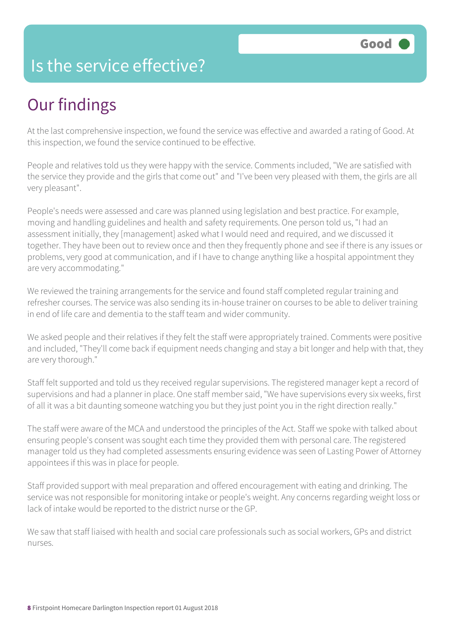#### Is the service effective?

## Our findings

At the last comprehensive inspection, we found the service was effective and awarded a rating of Good. At this inspection, we found the service continued to be effective.

People and relatives told us they were happy with the service. Comments included, "We are satisfied with the service they provide and the girls that come out" and "I've been very pleased with them, the girls are all very pleasant".

People's needs were assessed and care was planned using legislation and best practice. For example, moving and handling guidelines and health and safety requirements. One person told us, "I had an assessment initially, they [management] asked what I would need and required, and we discussed it together. They have been out to review once and then they frequently phone and see if there is any issues or problems, very good at communication, and if I have to change anything like a hospital appointment they are very accommodating."

We reviewed the training arrangements for the service and found staff completed regular training and refresher courses. The service was also sending its in-house trainer on courses to be able to deliver training in end of life care and dementia to the staff team and wider community.

We asked people and their relatives if they felt the staff were appropriately trained. Comments were positive and included, "They'll come back if equipment needs changing and stay a bit longer and help with that, they are very thorough."

Staff felt supported and told us they received regular supervisions. The registered manager kept a record of supervisions and had a planner in place. One staff member said, "We have supervisions every six weeks, first of all it was a bit daunting someone watching you but they just point you in the right direction really."

The staff were aware of the MCA and understood the principles of the Act. Staff we spoke with talked about ensuring people's consent was sought each time they provided them with personal care. The registered manager told us they had completed assessments ensuring evidence was seen of Lasting Power of Attorney appointees if this was in place for people.

Staff provided support with meal preparation and offered encouragement with eating and drinking. The service was not responsible for monitoring intake or people's weight. Any concerns regarding weight loss or lack of intake would be reported to the district nurse or the GP.

We saw that staff liaised with health and social care professionals such as social workers, GPs and district nurses.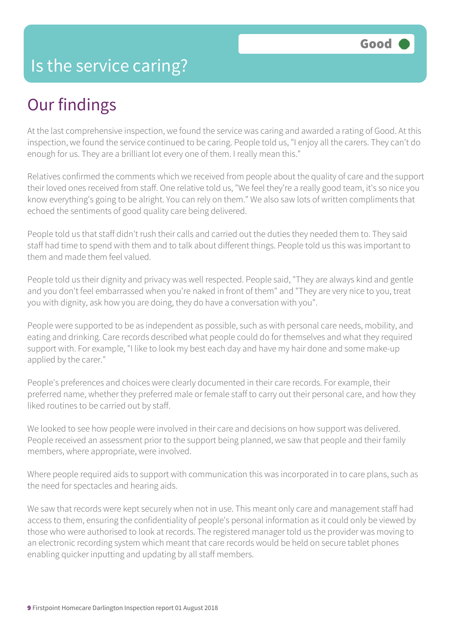#### Our findings

At the last comprehensive inspection, we found the service was caring and awarded a rating of Good. At this inspection, we found the service continued to be caring. People told us, "I enjoy all the carers. They can't do enough for us. They are a brilliant lot every one of them. I really mean this."

Relatives confirmed the comments which we received from people about the quality of care and the support their loved ones received from staff. One relative told us, "We feel they're a really good team, it's so nice you know everything's going to be alright. You can rely on them." We also saw lots of written compliments that echoed the sentiments of good quality care being delivered.

People told us that staff didn't rush their calls and carried out the duties they needed them to. They said staff had time to spend with them and to talk about different things. People told us this was important to them and made them feel valued.

People told us their dignity and privacy was well respected. People said, "They are always kind and gentle and you don't feel embarrassed when you're naked in front of them" and "They are very nice to you, treat you with dignity, ask how you are doing, they do have a conversation with you".

People were supported to be as independent as possible, such as with personal care needs, mobility, and eating and drinking. Care records described what people could do for themselves and what they required support with. For example, "I like to look my best each day and have my hair done and some make-up applied by the carer."

People's preferences and choices were clearly documented in their care records. For example, their preferred name, whether they preferred male or female staff to carry out their personal care, and how they liked routines to be carried out by staff.

We looked to see how people were involved in their care and decisions on how support was delivered. People received an assessment prior to the support being planned, we saw that people and their family members, where appropriate, were involved.

Where people required aids to support with communication this was incorporated in to care plans, such as the need for spectacles and hearing aids.

We saw that records were kept securely when not in use. This meant only care and management staff had access to them, ensuring the confidentiality of people's personal information as it could only be viewed by those who were authorised to look at records. The registered manager told us the provider was moving to an electronic recording system which meant that care records would be held on secure tablet phones enabling quicker inputting and updating by all staff members.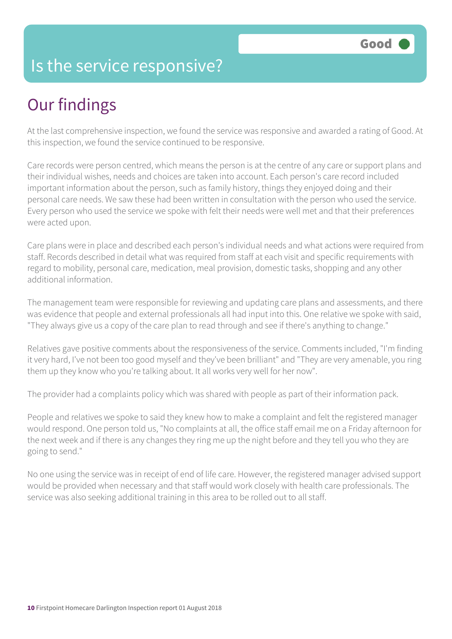#### Is the service responsive?

### Our findings

At the last comprehensive inspection, we found the service was responsive and awarded a rating of Good. At this inspection, we found the service continued to be responsive.

Care records were person centred, which means the person is at the centre of any care or support plans and their individual wishes, needs and choices are taken into account. Each person's care record included important information about the person, such as family history, things they enjoyed doing and their personal care needs. We saw these had been written in consultation with the person who used the service. Every person who used the service we spoke with felt their needs were well met and that their preferences were acted upon.

Care plans were in place and described each person's individual needs and what actions were required from staff. Records described in detail what was required from staff at each visit and specific requirements with regard to mobility, personal care, medication, meal provision, domestic tasks, shopping and any other additional information.

The management team were responsible for reviewing and updating care plans and assessments, and there was evidence that people and external professionals all had input into this. One relative we spoke with said, "They always give us a copy of the care plan to read through and see if there's anything to change."

Relatives gave positive comments about the responsiveness of the service. Comments included, "I'm finding it very hard, I've not been too good myself and they've been brilliant" and "They are very amenable, you ring them up they know who you're talking about. It all works very well for her now".

The provider had a complaints policy which was shared with people as part of their information pack.

People and relatives we spoke to said they knew how to make a complaint and felt the registered manager would respond. One person told us, "No complaints at all, the office staff email me on a Friday afternoon for the next week and if there is any changes they ring me up the night before and they tell you who they are going to send."

No one using the service was in receipt of end of life care. However, the registered manager advised support would be provided when necessary and that staff would work closely with health care professionals. The service was also seeking additional training in this area to be rolled out to all staff.